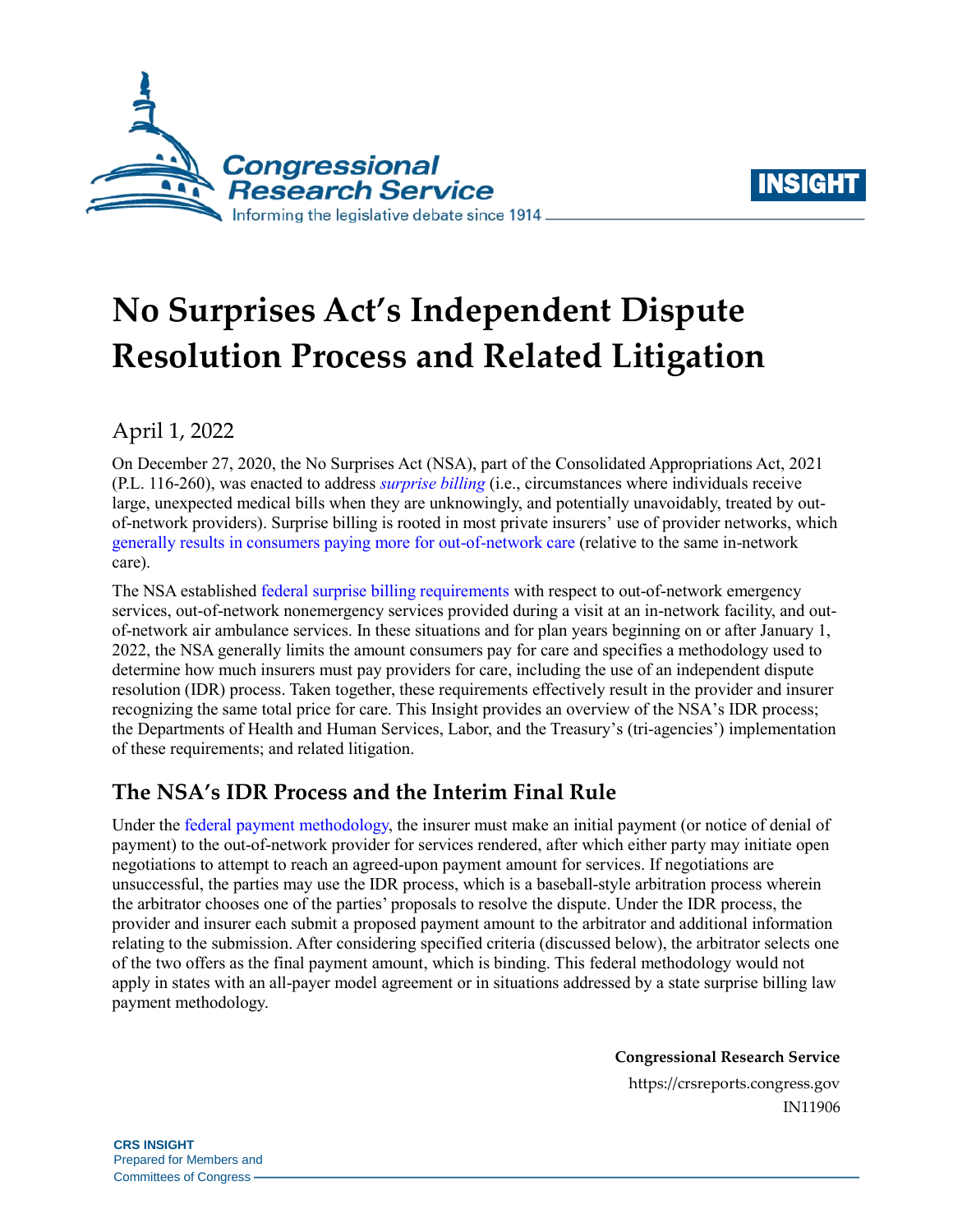



# **No Surprises Act's Independent Dispute Resolution Process and Related Litigation**

### April 1, 2022

On December 27, 2020, the No Surprises Act (NSA), part of the Consolidated Appropriations Act, 2021 [\(P.L. 116-260\)](http://www.congress.gov/cgi-lis/bdquery/R?d116:FLD002:@1(116+260)), was enacted to address *[surprise billing](https://crsreports.congress.gov/product/pdf/R/R46856#_Toc78274472)* (i.e., circumstances where individuals receive large, unexpected medical bills when they are unknowingly, and potentially unavoidably, treated by outof-network providers). Surprise billing is rooted in most private insurers' use of provider networks, which generally results [in consumers paying more for out-of-network care](https://crsreports.congress.gov/product/pdf/R/R46856#_Toc78274475) (relative to the same in-network care).

The NSA established [federal surprise billing requirements](https://crsreports.congress.gov/product/pdf/R/R46856#_Toc78274476) with respect to out-of-network emergency services, out-of-network nonemergency services provided during a visit at an in-network facility, and outof-network air ambulance services. In these situations and for plan years beginning on or after January 1, 2022, the NSA generally limits the amount consumers pay for care and specifies a methodology used to determine how much insurers must pay providers for care, including the use of an independent dispute resolution (IDR) process. Taken together, these requirements effectively result in the provider and insurer recognizing the same total price for care. This Insight provides an overview of the NSA's IDR process; the Departments of Health and Human Services, Labor, and the Treasury's (tri-agencies') implementation of these requirements; and related litigation.

## **The NSA's IDR Process and the Interim Final Rule**

Under the federal payment [methodology,](https://crsreports.congress.gov/product/pdf/IF/IF12073) the insurer must make an initial payment (or notice of denial of payment) to the out-of-network provider for services rendered, after which either party may initiate open negotiations to attempt to reach an agreed-upon payment amount for services. If negotiations are unsuccessful, the parties may use the IDR process, which is a baseball-style arbitration process wherein the arbitrator chooses one of the parties' proposals to resolve the dispute. Under the IDR process, the provider and insurer each submit a proposed payment amount to the arbitrator and additional information relating to the submission. After considering specified criteria (discussed below), the arbitrator selects one of the two offers as the final payment amount, which is binding. This federal methodology would not apply in states with an all-payer model agreement or in situations addressed by a state surprise billing law payment methodology.

**Congressional Research Service**

https://crsreports.congress.gov IN11906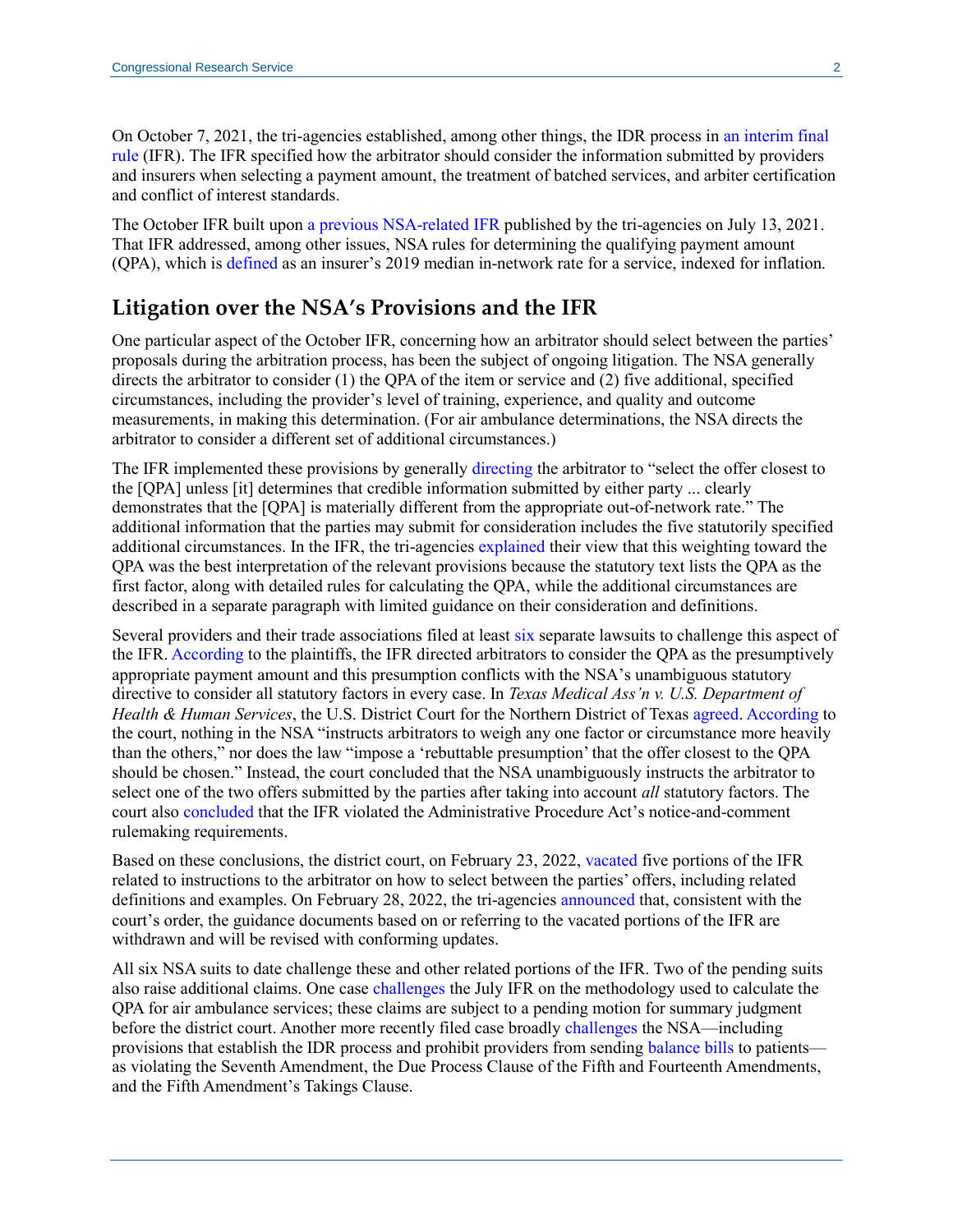On October 7, 2021, the tri-agencies established, among other things, the IDR process in [an interim final](https://www.federalregister.gov/documents/2021/10/07/2021-21441/requirements-related-to-surprise-billing-part-ii)  [rule](https://www.federalregister.gov/documents/2021/10/07/2021-21441/requirements-related-to-surprise-billing-part-ii) (IFR). The IFR specified how the arbitrator should consider the information submitted by providers and insurers when selecting a payment amount, the treatment of batched services, and arbiter certification and conflict of interest standards.

The October IFR built upon [a previous NSA-related](https://www.federalregister.gov/documents/2021/07/13/2021-14379/requirements-related-to-surprise-billing-part-i) IFR published by the tri-agencies on July 13, 2021. That IFR addressed, among other issues, NSA rules for determining the qualifying payment amount (QPA), which is [defined](http://uscode.house.gov/view.xhtml?req=(title:42%20section:300gg-111%20edition:prelim)%20OR%20(granuleid:USC-prelim-title42-section300gg-111)&f=treesort&edition=prelim&num=0&jumpTo=true) as an insurer's 2019 median in-network rate for a service, indexed for inflation.

#### **Litigation over the NSA's Provisions and the IFR**

One particular aspect of the October IFR, concerning how an arbitrator should select between the parties' proposals during the arbitration process, has been the subject of ongoing litigation. The NSA generally directs the arbitrator to consider (1) the QPA of the item or service and (2) five additional, specified circumstances, including the provider's level of training, experience, and quality and outcome measurements, in making this determination. (For air ambulance determinations, the NSA directs the arbitrator to consider a different set of additional circumstances.)

The IFR implemented these provisions by generally [directing](https://www.ecfr.gov/current/title-45/subtitle-A/subchapter-B/part-149/subpart-F/section-149.510) the arbitrator to "select the offer closest to the [QPA] unless [it] determines that credible information submitted by either party ... clearly demonstrates that the [QPA] is materially different from the appropriate out-of-network rate." The additional information that the parties may submit for consideration includes the five statutorily specified additional circumstances. In the IFR, the tri-agencies [explained](https://www.govinfo.gov/content/pkg/FR-2021-10-07/pdf/2021-21441.pdf#page=17) their view that this weighting toward the QPA was the best interpretation of the relevant provisions because the statutory text lists the QPA as the first factor, along with detailed rules for calculating the QPA, while the additional circumstances are described in a separate paragraph with limited guidance on their consideration and definitions.

Several providers and their trade associations filed at least [six](https://affordablecareactlitigation.com/no-surprises-act/) separate lawsuits to challenge this aspect of the IFR[. According](https://s3.documentcloud.org/documents/21273410/no-surprises-act-tma-v-hhs-summary-judgment.pdf#page=15) to the plaintiffs, the IFR directed arbitrators to consider the QPA as the presumptively appropriate payment amount and this presumption conflicts with the NSA's unambiguous statutory directive to consider all statutory factors in every case. In *Texas Medical Ass'n v. U.S. Department of Health & Human Services*, the U.S. District Court for the Northern District of Texas [agreed. According](https://s3.documentcloud.org/documents/21273410/no-surprises-act-tma-v-hhs-summary-judgment.pdf#page=17) to the court, nothing in the NSA "instructs arbitrators to weigh any one factor or circumstance more heavily than the others," nor does the law "impose a 'rebuttable presumption' that the offer closest to the QPA should be chosen." Instead, the court concluded that the NSA unambiguously instructs the arbitrator to select one of the two offers submitted by the parties after taking into account *all* statutory factors. The court also [concluded](https://s3.documentcloud.org/documents/21273410/no-surprises-act-tma-v-hhs-summary-judgment.pdf#page=21) that the IFR violated the Administrative Procedure Act's notice-and-comment rulemaking requirements.

Based on these conclusions, the district court, on February 23, 2022, [vacated](https://s3.documentcloud.org/documents/21273410/no-surprises-act-tma-v-hhs-summary-judgment.pdf#page=34) five portions of the IFR related to instructions to the arbitrator on how to select between the parties' offers, including related definitions and examples. On February 28, 2022, the tri-agencies [announced](https://www.cms.gov/files/document/memorandum-regarding-continuing-surprise-billing-protections-consumers.pdf) that, consistent with the court's order, the guidance documents based on or referring to the vacated portions of the IFR are withdrawn and will be revised with conforming updates.

All six NSA suits to date challenge these and other related portions of the IFR. Two of the pending suits also raise additional claims. One case [challenges](https://affordablecareactlitigation.files.wordpress.com/2021/11/aams-complaint-11-16-21.pdf#page=22) the July IFR on the methodology used to calculate the QPA for air ambulance services; these claims are subject to a pending motion for summary judgment before the district court. Another more recently filed case broadly [challenges](https://affordablecareactlitigation.files.wordpress.com/2022/01/haller-no-surprises-complaint-12-31.pdf#page=11) the NSA—including provisions that establish the IDR process and prohibit providers from sending [balance bills](https://crsreports.congress.gov/product/pdf/R/R46856#_Toc78274475) to patients as violating the Seventh Amendment, the Due Process Clause of the Fifth and Fourteenth Amendments, and the Fifth Amendment's Takings Clause.